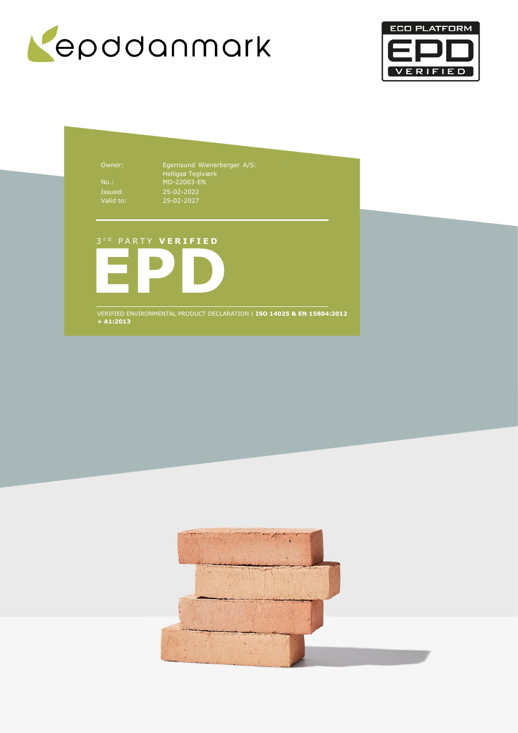



Owner: Egernsund Wienerberger A/S: Helligsø Teglværk No.: MD-22003-EN 25-02-2022 25-02-2027

# 3 r d P A R T Y **V E R I F I E D**



VERIFIED ENVIRONMENTAL PRODUCT DECLARATION | **ISO 14025 & EN 15804:2012 + A1:2013**

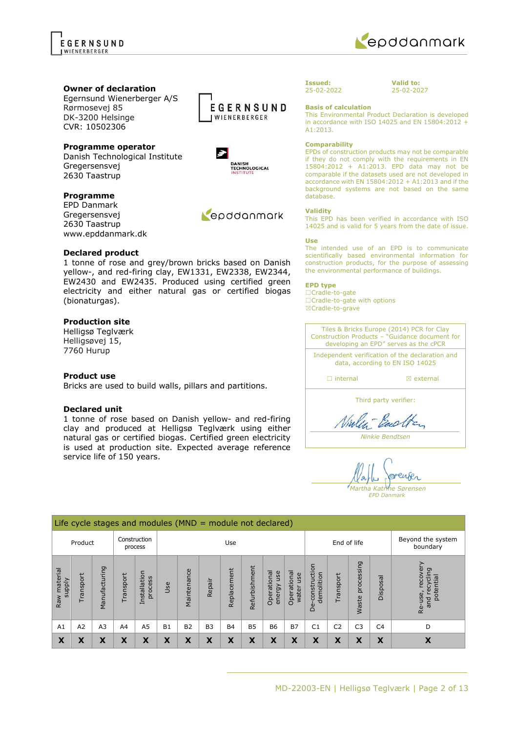

### **Owner of declaration**

Egernsund Wienerberger A/S Rørmosevej 85 DK-3200 Helsinge CVR: 10502306

# **Programme operator**

Danish Technological Institute Gregersensvej 2630 Taastrup

# **Programme**

EPD Danmark Gregersensvej 2630 Taastrup www.epddanmark.dk

#### **Declared product**

1 tonne of rose and grey/brown bricks based on Danish yellow-, and red-firing clay, EW1331, EW2338, EW2344, EW2430 and EW2435. Produced using certified green electricity and either natural gas or certified biogas (bionaturgas).

#### **Production site**

Helligsø Teglværk Helligsøvej 15, 7760 Hurup

#### **Product use**

Bricks are used to build walls, pillars and partitions.

#### **Declared unit**

1 tonne of rose based on Danish yellow- and red-firing clay and produced at Helligsø Teglværk using either natural gas or certified biogas. Certified green electricity is used at production site. Expected average reference service life of 150 years.



**Issued:** 25-02-2022 **Valid to:** 25-02-2027

**Basis of calculation**

This Environmental Product Declaration is developed in accordance with ISO 14025 and EN 15804:2012 + A1:2013.

#### **Comparability**

EPDs of construction products may not be comparable if they do not comply with the requirements in EN 15804:2012 + A1:2013. EPD data may not be comparable if the datasets used are not developed in accordance with EN 15804:2012 + A1:2013 and if the background systems are not based on the same database.

#### **Validity**

This EPD has been verified in accordance with ISO 14025 and is valid for 5 years from the date of issue.

#### **Use**

The intended use of an EPD is to communicate scientifically based environmental information for construction products, for the purpose of assessing the environmental performance of buildings.

#### **EPD type**

☐Cradle-to-gate ☐Cradle-to-gate with options ☒Cradle-to-grave

Tiles & Bricks Europe (2014) PCR for Clay Construction Products – "Guidance document for developing an EPD" serves as the cPCR Independent verification of the declaration and data, according to EN ISO 14025 ☐ internal ☒ external Third party verifier: Vialent Backen *Ninkie Bendtsen*

enser  $\sqrt{a}$ *Martha Katrine Sørensen EPD Danmark*

Life cycle stages and modules (MND = module not declared) Construction Use **End of life** Beyond the system Product process boundary Re-use, recovery processing De-construction Waste processing Re-use, recovery De-construction nd recycling<br>potential Raw material Manufacturing Refurbishment and recycling Manufacturing Refurbishment Raw material Installation Maintenance Replacement Operational Operational<br>water use Operational Replacement energy use Installation Operational demolition Transport Transport Transport Disposal process supply Repair Use Waste  $and r$ A1 | A2 | A3 | A4 | A5 | B1 | B2 | B3 | B4 | B5 | B6 | B7 | C1 | C2 | C3 | C4 | D **X X X X X X X X X X X X X X X X X**



Repodanmark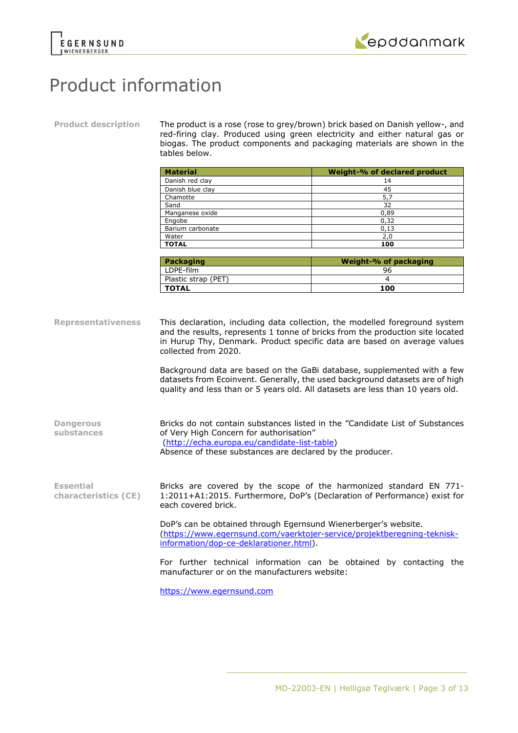



# Product information

**Product description** The product is a rose (rose to grey/brown) brick based on Danish yellow-, and red-firing clay. Produced using green electricity and either natural gas or biogas. The product components and packaging materials are shown in the tables below.

| <b>Material</b>  | Weight-% of declared product |
|------------------|------------------------------|
| Danish red clay  | 14                           |
| Danish blue clay | 45                           |
| Chamotte         | 5,7                          |
| Sand             | 32                           |
| Manganese oxide  | 0,89                         |
| Engobe           | 0,32                         |
| Barium carbonate | 0,13                         |
| Water            | 2,0                          |
| <b>TOTAL</b>     | 100                          |

| Packaging           | Weight-% of packaging |
|---------------------|-----------------------|
| LDPE-film           | 96                    |
| Plastic strap (PET) |                       |
| <b>TOTAL</b>        | 100                   |

**Representativeness** This declaration, including data collection, the modelled foreground system and the results, represents 1 tonne of bricks from the production site located in Hurup Thy, Denmark. Product specific data are based on average values collected from 2020.

> Background data are based on the GaBi database, supplemented with a few datasets from Ecoinvent. Generally, the used background datasets are of high quality and less than or 5 years old. All datasets are less than 10 years old.

**Dangerous substances** Bricks do not contain substances listed in the "Candidate List of Substances of Very High Concern for authorisation" [\(http://echa.europa.eu/candidate-list-table\)](http://echa.europa.eu/candidate-list-table) Absence of these substances are declared by the producer.

**Essential characteristics (CE)** Bricks are covered by the scope of the harmonized standard EN 771- 1:2011+A1:2015. Furthermore, DoP's (Declaration of Performance) exist for each covered brick.

> DoP's can be obtained through Egernsund Wienerberger's website. [\(https://www.egernsund.com/vaerktojer-service/projektberegning-teknisk](https://www.egernsund.com/vaerktojer-service/projektberegning-teknisk-information/dop-ce-deklarationer.html)[information/dop-ce-deklarationer.html\)](https://www.egernsund.com/vaerktojer-service/projektberegning-teknisk-information/dop-ce-deklarationer.html).

For further technical information can be obtained by contacting the manufacturer or on the manufacturers website:

[https://www.egernsund.com](https://www.egernsund.com/)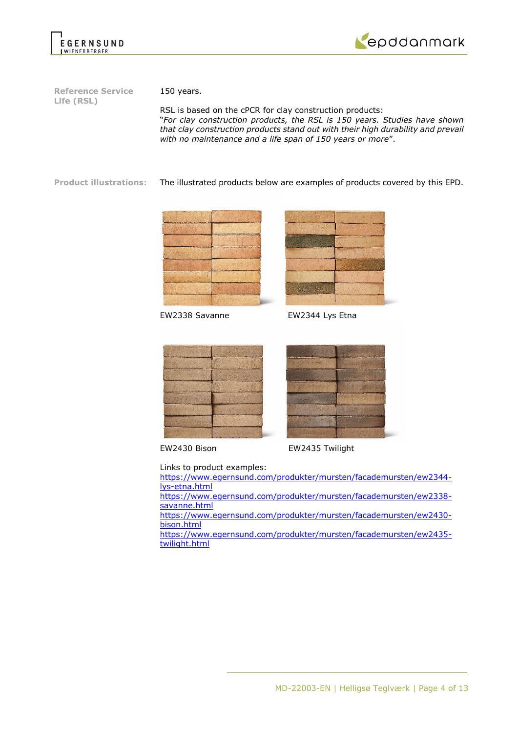



**Reference Service Life (RSL)**

150 years.

RSL is based on the cPCR for clay construction products: "*For clay construction products, the RSL is 150 years. Studies have shown that clay construction products stand out with their high durability and prevail with no maintenance and a life span of 150 years or more*".

**Product illustrations:** The illustrated products below are examples of products covered by this EPD.





EW2338 Savanne EW2344 Lys Etna



EW2430 Bison EW2435 Twilight

Links to product examples:

[https://www.egernsund.com/produkter/mursten/facademursten/ew2344](https://www.egernsund.com/produkter/mursten/facademursten/ew2344-lys-etna.html) [lys-etna.html](https://www.egernsund.com/produkter/mursten/facademursten/ew2344-lys-etna.html) [https://www.egernsund.com/produkter/mursten/facademursten/ew2338](https://www.egernsund.com/produkter/mursten/facademursten/ew2338-savanne.html) [savanne.html](https://www.egernsund.com/produkter/mursten/facademursten/ew2338-savanne.html) [https://www.egernsund.com/produkter/mursten/facademursten/ew2430](https://www.egernsund.com/produkter/mursten/facademursten/ew2430-bison.html) [bison.html](https://www.egernsund.com/produkter/mursten/facademursten/ew2430-bison.html) [https://www.egernsund.com/produkter/mursten/facademursten/ew2435](https://www.egernsund.com/produkter/mursten/facademursten/ew2435-twilight.html) [twilight.html](https://www.egernsund.com/produkter/mursten/facademursten/ew2435-twilight.html)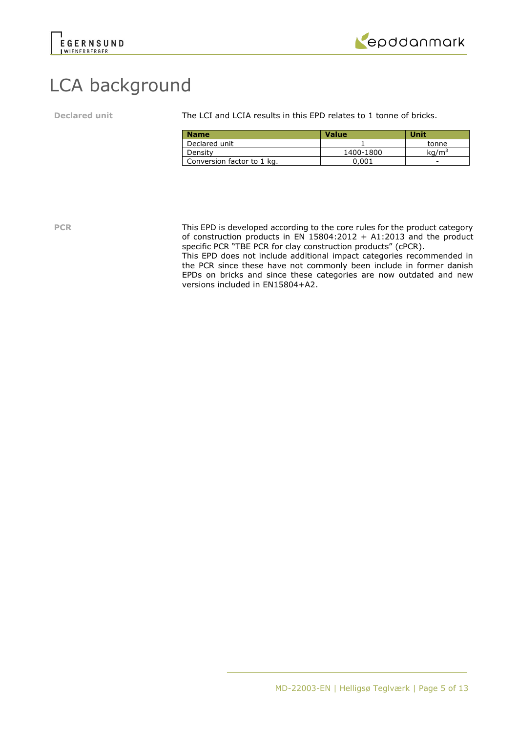



# LCA background

### **Declared unit** The LCI and LCIA results in this EPD relates to 1 tonne of bricks.

| <b>Name</b>                | <b>Value</b> | Unit              |
|----------------------------|--------------|-------------------|
| Declared unit              |              | tonne             |
| Density                    | 1400-1800    | ka/m <sup>3</sup> |
| Conversion factor to 1 kg. | 0.001        | -                 |

PCR This EPD is developed according to the core rules for the product category of construction products in EN 15804:2012 + A1:2013 and the product specific PCR "TBE PCR for clay construction products" (cPCR).

This EPD does not include additional impact categories recommended in the PCR since these have not commonly been include in former danish EPDs on bricks and since these categories are now outdated and new versions included in EN15804+A2.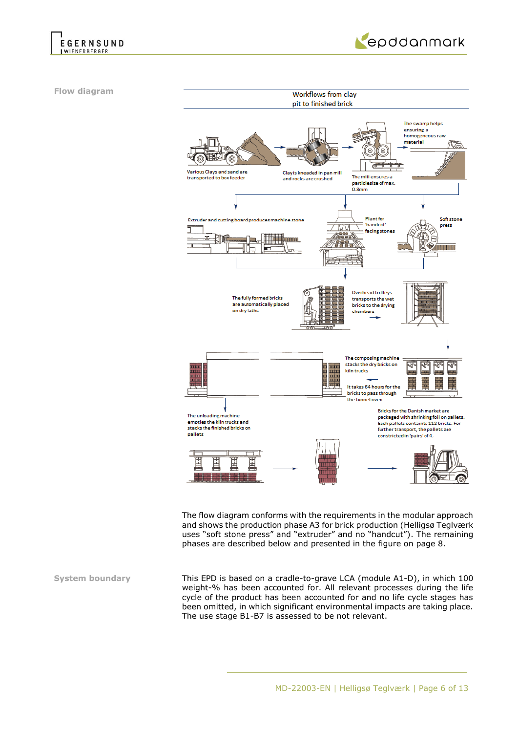



**Flow diagram**



The flow diagram conforms with the requirements in the modular approach and shows the production phase A3 for brick production (Helligsø Teglværk uses "soft stone press" and "extruder" and no "handcut"). The remaining phases are described below and presented in the figure on page 8.

**System boundary** This EPD is based on a cradle-to-grave LCA (module A1-D), in which 100 weight-% has been accounted for. All relevant processes during the life cycle of the product has been accounted for and no life cycle stages has been omitted, in which significant environmental impacts are taking place. The use stage B1-B7 is assessed to be not relevant.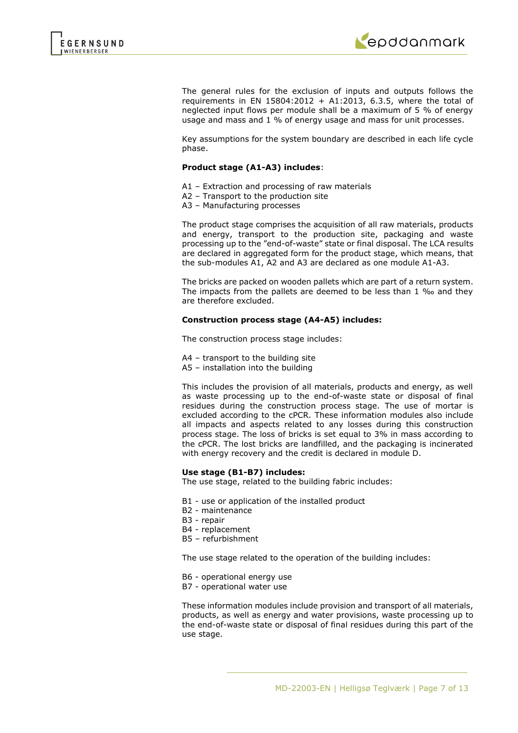

The general rules for the exclusion of inputs and outputs follows the requirements in EN 15804:2012 + A1:2013, 6.3.5, where the total of neglected input flows per module shall be a maximum of 5 % of energy usage and mass and 1 % of energy usage and mass for unit processes.

Key assumptions for the system boundary are described in each life cycle phase.

#### **Product stage (A1-A3) includes**:

- A1 Extraction and processing of raw materials
- A2 Transport to the production site
- A3 Manufacturing processes

The product stage comprises the acquisition of all raw materials, products and energy, transport to the production site, packaging and waste processing up to the "end-of-waste" state or final disposal. The LCA results are declared in aggregated form for the product stage, which means, that the sub-modules A1, A2 and A3 are declared as one module A1-A3.

The bricks are packed on wooden pallets which are part of a return system. The impacts from the pallets are deemed to be less than 1 ‰ and they are therefore excluded.

#### **Construction process stage (A4-A5) includes:**

The construction process stage includes:

- A4 transport to the building site
- A5 installation into the building

This includes the provision of all materials, products and energy, as well as waste processing up to the end-of-waste state or disposal of final residues during the construction process stage. The use of mortar is excluded according to the cPCR. These information modules also include all impacts and aspects related to any losses during this construction process stage. The loss of bricks is set equal to 3% in mass according to the cPCR. The lost bricks are landfilled, and the packaging is incinerated with energy recovery and the credit is declared in module D.

#### **Use stage (B1-B7) includes:**

The use stage, related to the building fabric includes:

- B1 use or application of the installed product
- B2 maintenance
- B3 repair
- B4 replacement
- B5 refurbishment

The use stage related to the operation of the building includes:

- B6 operational energy use
- B7 operational water use

These information modules include provision and transport of all materials, products, as well as energy and water provisions, waste processing up to the end-of-waste state or disposal of final residues during this part of the use stage.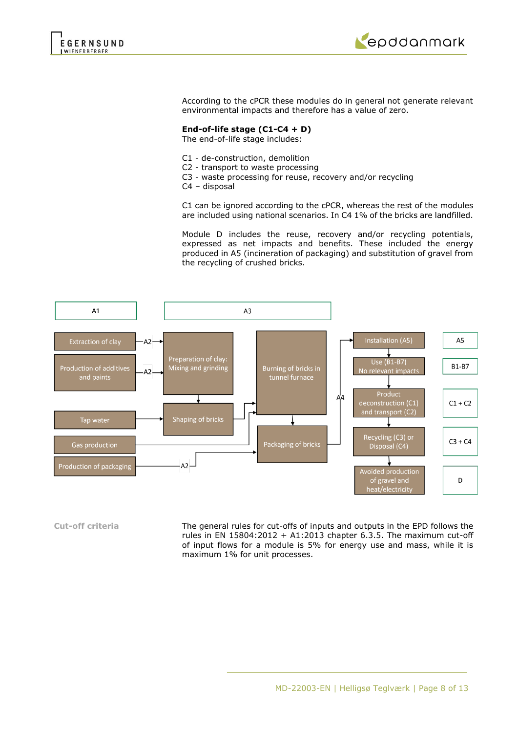

According to the cPCR these modules do in general not generate relevant environmental impacts and therefore has a value of zero.

# **End-of-life stage (C1-C4 + D)**

The end-of-life stage includes:

- C1 de-construction, demolition
- C2 transport to waste processing
- C3 waste processing for reuse, recovery and/or recycling
- C4 disposal

C1 can be ignored according to the cPCR, whereas the rest of the modules are included using national scenarios. In C4 1% of the bricks are landfilled.

Module D includes the reuse, recovery and/or recycling potentials, expressed as net impacts and benefits. These included the energy produced in A5 (incineration of packaging) and substitution of gravel from the recycling of crushed bricks.



**Cut-off criteria** The general rules for cut-offs of inputs and outputs in the EPD follows the rules in EN 15804:2012 + A1:2013 chapter 6.3.5. The maximum cut-off of input flows for a module is 5% for energy use and mass, while it is maximum 1% for unit processes.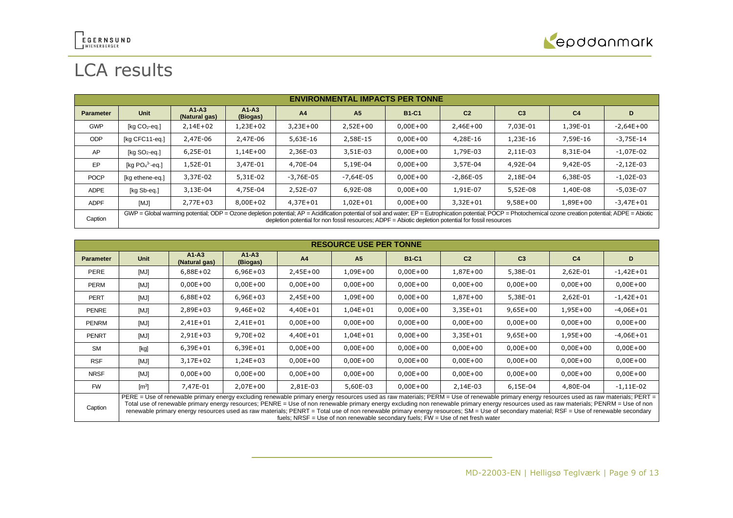

# LCA results

|                  | <b>ENVIRONMENTAL IMPACTS PER TONNE</b>                                                                                                                                                                                                                                                                                 |                          |                     |                |                |              |                |                |                |             |
|------------------|------------------------------------------------------------------------------------------------------------------------------------------------------------------------------------------------------------------------------------------------------------------------------------------------------------------------|--------------------------|---------------------|----------------|----------------|--------------|----------------|----------------|----------------|-------------|
| <b>Parameter</b> | Unit                                                                                                                                                                                                                                                                                                                   | $A1-A3$<br>(Natural gas) | $A1-A3$<br>(Biogas) | A <sub>4</sub> | A <sub>5</sub> | <b>B1-C1</b> | C <sub>2</sub> | C <sub>3</sub> | C <sub>4</sub> | D           |
| <b>GWP</b>       | [ $kg CO2$ -eq.]                                                                                                                                                                                                                                                                                                       | $2,14E+02$               | $1,23E+02$          | $3,23E+00$     | $2,52E+00$     | $0.00E + 00$ | $2,46E+00$     | 7,03E-01       | 1,39E-01       | $-2,64E+00$ |
| <b>ODP</b>       | [kg CFC11-eq.]                                                                                                                                                                                                                                                                                                         | 2,47E-06                 | 2,47E-06            | 5,63E-16       | 2,58E-15       | $0,00E+00$   | 4,28E-16       | 1,23E-16       | 7,59E-16       | $-3,75E-14$ |
| AP               | [ $kg SO2-eq.$ ]                                                                                                                                                                                                                                                                                                       | 6,25E-01                 | $1,14E+00$          | 2,36E-03       | 3,51E-03       | $0.00E + 00$ | 1,79E-03       | 2,11E-03       | 8,31E-04       | $-1,07E-02$ |
| EP               | [kg $PO43$ -eg.]                                                                                                                                                                                                                                                                                                       | 1,52E-01                 | 3,47E-01            | 4,70E-04       | 5,19E-04       | $0.00E + 00$ | 3,57E-04       | 4,92E-04       | 9,42E-05       | $-2,12E-03$ |
| <b>POCP</b>      | [kg ethene-eq.]                                                                                                                                                                                                                                                                                                        | 3,37E-02                 | 5,31E-02            | -3,76E-05      | $-7,64E-05$    | $0,00E+00$   | $-2,86E-05$    | 2,18E-04       | 6,38E-05       | $-1,02E-03$ |
| ADPE             | [kg Sb-eg.]                                                                                                                                                                                                                                                                                                            | 3,13E-04                 | 4,75E-04            | 2,52E-07       | $6.92E-08$     | $0.00E + 00$ | 1,91E-07       | 5,52E-08       | 1,40E-08       | $-5,03E-07$ |
| <b>ADPF</b>      | [MJ]                                                                                                                                                                                                                                                                                                                   | $2,77E+03$               | 8,00E+02            | $4.37E + 01$   | $1,02E+01$     | $0.00E + 00$ | $3,32E+01$     | $9,58E+00$     | 1,89E+00       | $-3,47E+01$ |
| Caption          | GWP = Global warming potential; ODP = Ozone depletion potential; AP = Acidification potential of soil and water; EP = Eutrophication potential; POCP = Photochemical ozone creation potential; ADPE = Abiotic<br>depletion potential for non fossil resources; ADPF = Abiotic depletion potential for fossil resources |                          |                     |                |                |              |                |                |                |             |

|                  | <b>RESOURCE USE PER TONNE</b>                                                                                                                                                                                                                                                                                                                                                                                                                                                                                                                                                                                                                                        |                            |                     |                |                |              |                |                |                |              |
|------------------|----------------------------------------------------------------------------------------------------------------------------------------------------------------------------------------------------------------------------------------------------------------------------------------------------------------------------------------------------------------------------------------------------------------------------------------------------------------------------------------------------------------------------------------------------------------------------------------------------------------------------------------------------------------------|----------------------------|---------------------|----------------|----------------|--------------|----------------|----------------|----------------|--------------|
| <b>Parameter</b> | <b>Unit</b>                                                                                                                                                                                                                                                                                                                                                                                                                                                                                                                                                                                                                                                          | $A1 - A3$<br>(Natural gas) | $A1-A3$<br>(Biogas) | A <sub>4</sub> | A <sub>5</sub> | <b>B1-C1</b> | C <sub>2</sub> | C <sub>3</sub> | C <sub>4</sub> | D            |
| PERE             | [MJ]                                                                                                                                                                                                                                                                                                                                                                                                                                                                                                                                                                                                                                                                 | $6,88E+02$                 | $6,96E+03$          | $2,45E+00$     | 1,09E+00       | $0,00E+00$   | 1,87E+00       | 5,38E-01       | 2,62E-01       | $-1,42E+01$  |
| <b>PERM</b>      | [MJ]                                                                                                                                                                                                                                                                                                                                                                                                                                                                                                                                                                                                                                                                 | $0,00E+00$                 | $0,00E+00$          | $0,00E+00$     | $0,00E + 00$   | $0,00E+00$   | $0,00E + 00$   | $0,00E+00$     | $0,00E+00$     | $0,00E+00$   |
| <b>PERT</b>      | [MJ]                                                                                                                                                                                                                                                                                                                                                                                                                                                                                                                                                                                                                                                                 | 6,88E+02                   | $6,96E+03$          | $2,45E+00$     | 1,09E+00       | $0,00E+00$   | 1,87E+00       | 5,38E-01       | 2,62E-01       | $-1,42E+01$  |
| <b>PENRE</b>     | [MJ]                                                                                                                                                                                                                                                                                                                                                                                                                                                                                                                                                                                                                                                                 | 2,89E+03                   | $9,46E+02$          | 4,40E+01       | $1,04E + 01$   | $0,00E+00$   | $3,35E+01$     | $9,65E+00$     | $1,95E+00$     | $-4,06E+01$  |
| PENRM            | [MJ]                                                                                                                                                                                                                                                                                                                                                                                                                                                                                                                                                                                                                                                                 | 2,41E+01                   | $2,41E+01$          | $0,00E+00$     | $0,00E + 00$   | $0,00E+00$   | $0,00E+00$     | $0,00E+00$     | $0,00E + 00$   | $0,00E + 00$ |
| <b>PENRT</b>     | [MJ]                                                                                                                                                                                                                                                                                                                                                                                                                                                                                                                                                                                                                                                                 | 2,91E+03                   | $9,70E+02$          | 4,40E+01       | $1,04E + 01$   | $0,00E+00$   | $3,35E+01$     | $9,65E+00$     | $1,95E+00$     | $-4,06E+01$  |
| <b>SM</b>        | [kg]                                                                                                                                                                                                                                                                                                                                                                                                                                                                                                                                                                                                                                                                 | 6,39E+01                   | $6,39E+01$          | $0,00E+00$     | $0,00E + 00$   | $0,00E+00$   | $0,00E + 00$   | $0,00E+00$     | $0,00E + 00$   | $0,00E+00$   |
| <b>RSF</b>       | [MJ]                                                                                                                                                                                                                                                                                                                                                                                                                                                                                                                                                                                                                                                                 | 3,17E+02                   | $1,24E+03$          | $0,00E+00$     | $0,00E+00$     | $0,00E+00$   | $0,00E+00$     | $0,00E+00$     | $0,00E + 00$   | $0,00E + 00$ |
| <b>NRSF</b>      | [MJ]                                                                                                                                                                                                                                                                                                                                                                                                                                                                                                                                                                                                                                                                 | $0,00E+00$                 | $0,00E+00$          | $0,00E+00$     | $0,00E + 00$   | $0,00E+00$   | $0,00E + 00$   | $0,00E+00$     | $0,00E + 00$   | $0,00E + 00$ |
| <b>FW</b>        | $\mathsf{[m^3]}$                                                                                                                                                                                                                                                                                                                                                                                                                                                                                                                                                                                                                                                     | 7,47E-01                   | $2,07E+00$          | 2,81E-03       | 5,60E-03       | $0,00E+00$   | 2,14E-03       | 6,15E-04       | 4,80E-04       | $-1,11E-02$  |
| Caption          | PERE = Use of renewable primary energy excluding renewable primary energy resources used as raw materials; PERM = Use of renewable primary energy resources used as raw materials; PERT =<br>Total use of renewable primary energy resources; PENRE = Use of non renewable primary energy excluding non renewable primary energy resources used as raw materials; PENRM = Use of non<br>renewable primary energy resources used as raw materials; PENRT = Total use of non renewable primary energy resources; SM = Use of secondary material; RSF = Use of renewable secondary<br>fuels; NRSF = Use of non renewable secondary fuels; $FW = Use$ of net fresh water |                            |                     |                |                |              |                |                |                |              |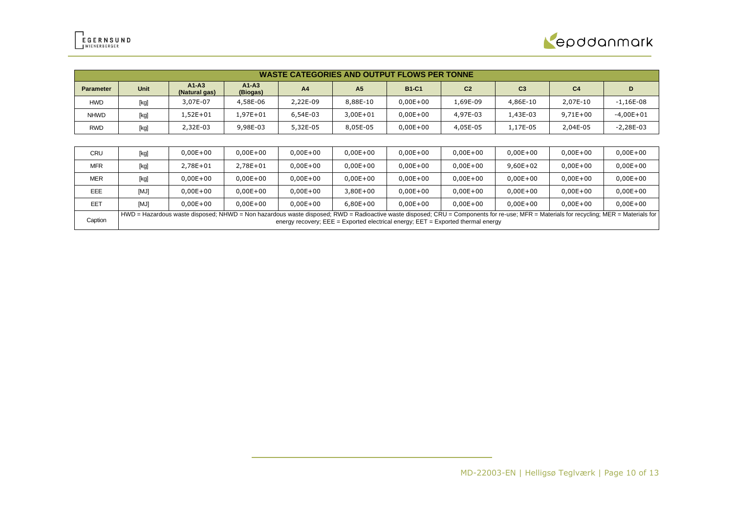

|                  | <b>WASTE CATEGORIES AND OUTPUT FLOWS PER TONNE</b>                                                                                                                                                                                                                              |                          |                     |                |                |              |                |                |                |              |
|------------------|---------------------------------------------------------------------------------------------------------------------------------------------------------------------------------------------------------------------------------------------------------------------------------|--------------------------|---------------------|----------------|----------------|--------------|----------------|----------------|----------------|--------------|
| <b>Parameter</b> | <b>Unit</b>                                                                                                                                                                                                                                                                     | $A1-A3$<br>(Natural gas) | $A1-A3$<br>(Biogas) | A <sub>4</sub> | A <sub>5</sub> | <b>B1-C1</b> | C <sub>2</sub> | C <sub>3</sub> | C <sub>4</sub> | D            |
| <b>HWD</b>       | [kg]                                                                                                                                                                                                                                                                            | 3,07E-07                 | 4,58E-06            | 2,22E-09       | 8,88E-10       | $0,00E+00$   | 1,69E-09       | 4,86E-10       | 2,07E-10       | $-1,16E-08$  |
| <b>NHWD</b>      | [kg]                                                                                                                                                                                                                                                                            | 1,52E+01                 | $1,97E + 01$        | 6,54E-03       | $3,00E + 01$   | $0,00E+00$   | 4,97E-03       | 1,43E-03       | $9,71E+00$     | $-4,00E+01$  |
| RWD              | [kg]                                                                                                                                                                                                                                                                            | 2,32E-03                 | 9,98E-03            | 5,32E-05       | 8,05E-05       | $0,00E+00$   | 4,05E-05       | 1,17E-05       | 2,04E-05       | $-2,28E-03$  |
|                  |                                                                                                                                                                                                                                                                                 |                          |                     |                |                |              |                |                |                |              |
| CRU              | [kg]                                                                                                                                                                                                                                                                            | $0.00E + 00$             | $0.00E + 00$        | $0.00E + 00$   | $0,00E+00$     | $0.00E + 00$ | $0,00E+00$     | $0.00E + 00$   | $0.00E + 00$   | $0,00E + 00$ |
| <b>MFR</b>       | [kg]                                                                                                                                                                                                                                                                            | 2,78E+01                 | 2,78E+01            | $0,00E+00$     | $0,00E+00$     | $0,00E+00$   | $0,00E+00$     | $9,60E+02$     | $0,00E+00$     | $0,00E+00$   |
| <b>MER</b>       | [kg]                                                                                                                                                                                                                                                                            | $0,00E+00$               | $0,00E + 00$        | $0,00E+00$     | $0,00E+00$     | $0,00E+00$   | $0,00E+00$     | $0,00E+00$     | $0,00E+00$     | $0,00E+00$   |
| EEE              | [MJ]                                                                                                                                                                                                                                                                            | $0,00E+00$               | $0,00E + 00$        | $0,00E+00$     | $3,80E+00$     | $0,00E+00$   | $0,00E+00$     | $0.00E + 00$   | $0,00E+00$     | $0,00E + 00$ |
| <b>EET</b>       | [MJ]                                                                                                                                                                                                                                                                            | $0,00E+00$               | $0,00E + 00$        | $0,00E+00$     | $6,80E+00$     | $0,00E+00$   | $0,00E+00$     | $0,00E+00$     | $0,00E+00$     | $0,00E + 00$ |
| Caption          | HWD = Hazardous waste disposed; NHWD = Non hazardous waste disposed; RWD = Radioactive waste disposed; CRU = Components for re-use; MFR = Materials for recycling; MER = Materials for<br>energy recovery; $EEE = Exported electrical energy$ ; $EET = Exported thermal energy$ |                          |                     |                |                |              |                |                |                |              |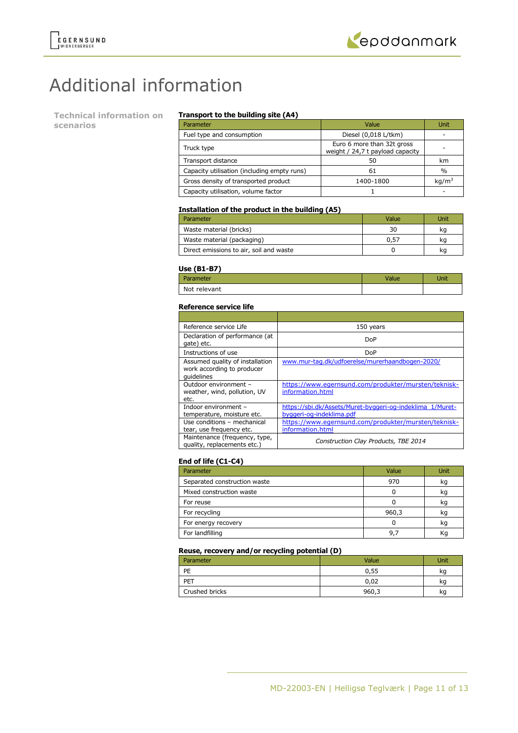# Additional information

**Technical information on scenarios**

#### **Transport to the building site (A4)**

| Parameter                                   | Value                                                          | Unit              |
|---------------------------------------------|----------------------------------------------------------------|-------------------|
| Fuel type and consumption                   | Diesel (0,018 L/tkm)                                           |                   |
| Truck type                                  | Euro 6 more than 32t gross<br>weight / 24,7 t payload capacity |                   |
| Transport distance                          | 50                                                             | km                |
| Capacity utilisation (including empty runs) | 61                                                             | $\%$              |
| Gross density of transported product        | 1400-1800                                                      | kg/m <sup>3</sup> |
| Capacity utilisation, volume factor         |                                                                |                   |

#### **Installation of the product in the building (A5)**

| Parameter                               | Value | Unit |
|-----------------------------------------|-------|------|
| Waste material (bricks)                 | 30    | ĸq   |
| Waste material (packaging)              | 0.57  | ĸq   |
| Direct emissions to air, soil and waste |       | ĸq   |

#### **Use (B1-B7)**

| -----        |      |
|--------------|------|
| Parameter    | Jnit |
| Not relevant |      |

#### **Reference service life**

| Reference service Life                                                      | 150 years                                                                             |
|-----------------------------------------------------------------------------|---------------------------------------------------------------------------------------|
| Declaration of performance (at<br>gate) etc.                                | DoP                                                                                   |
| Instructions of use                                                         | DoP                                                                                   |
| Assumed quality of installation<br>work according to producer<br>quidelines | www.mur-tag.dk/udfoerelse/murerhaandbogen-2020/                                       |
| Outdoor environment -<br>weather, wind, pollution, UV<br>etc.               | https://www.egernsund.com/produkter/mursten/teknisk-<br>information.html              |
| Indoor environment –<br>temperature, moisture etc.                          | https://sbi.dk/Assets/Muret-byggeri-og-indeklima 1/Muret-<br>byggeri-og-indeklima.pdf |
| Use conditions - mechanical<br>tear, use frequency etc.                     | https://www.egernsund.com/produkter/mursten/teknisk-<br>information.html              |
| Maintenance (frequency, type,<br>quality, replacements etc.)                | Construction Clay Products, TBE 2014                                                  |

### **End of life (C1-C4)**

| Parameter                    | Value | <b>Unit</b> |
|------------------------------|-------|-------------|
| Separated construction waste | 970   | kg          |
| Mixed construction waste     |       | kq          |
| For reuse                    |       | kg          |
| For recycling                | 960,3 | kq          |
| For energy recovery          |       | kg          |
| For landfilling              | 9.    |             |

### **Reuse, recovery and/or recycling potential (D)**

| Parameter      | Value | Unit |
|----------------|-------|------|
| PE             | 0,55  | kq   |
| PET            | 0,02  | ĸq   |
| Crushed bricks | 960,3 | kg   |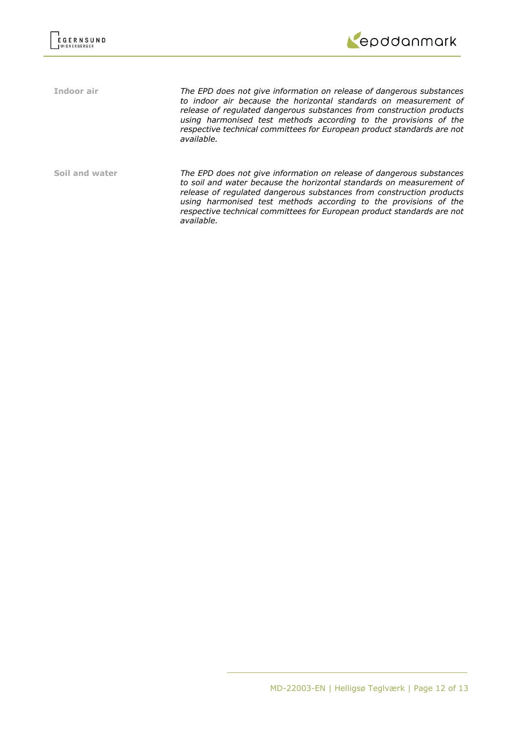

**Indoor air** *The EPD does not give information on release of dangerous substances to indoor air because the horizontal standards on measurement of release of regulated dangerous substances from construction products*  using harmonised test methods according to the provisions of the *respective technical committees for European product standards are not available.*

**Soil and water** *The EPD does not give information on release of dangerous substances to soil and water because the horizontal standards on measurement of release of regulated dangerous substances from construction products using harmonised test methods according to the provisions of the respective technical committees for European product standards are not available.*